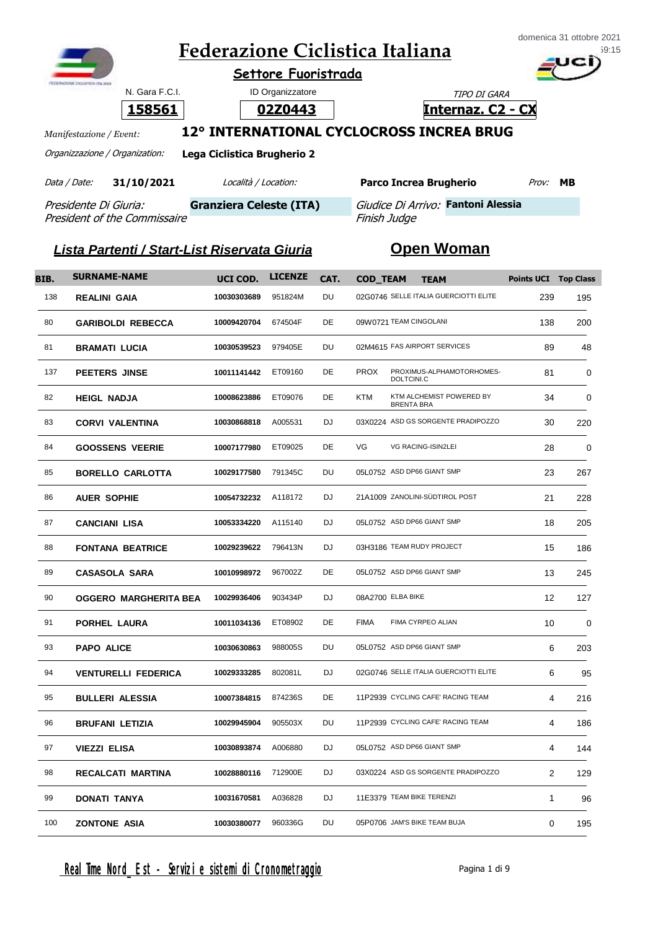|                                |                | domenica 31 ottobre 2021<br><b>Federazione Ciclistica Italiana</b><br>Settore Fuoristrada |                             |                                          |                          |  |  |
|--------------------------------|----------------|-------------------------------------------------------------------------------------------|-----------------------------|------------------------------------------|--------------------------|--|--|
|                                | N. Gara F.C.I. |                                                                                           | <b>ID Organizzatore</b>     |                                          | TIPO DI GARA             |  |  |
|                                | 158561         |                                                                                           | 02Z0443                     |                                          | <b>Internaz. C2 - CX</b> |  |  |
| Manifestazione / Event:        |                |                                                                                           |                             | 12° INTERNATIONAL CYCLOCROSS INCREA BRUG |                          |  |  |
| Organizzazione / Organization: |                |                                                                                           | Lega Ciclistica Brugherio 2 |                                          |                          |  |  |
| Data / Date:                   | 31/10/2021     |                                                                                           | Località / Location:        | <b>Parco Increa Brugherio</b>            | <b>MB</b><br>Prov:       |  |  |

Presidente Di Giuria: President of the Commissaire

Granziera Celeste (ITA) *Giudice Di Arrivo:* Fantoni Alessia

## *Lista Partenti / Start-List Riservata Giuria* **Open Woman**

Finish Judge

| BIB. | <b>SURNAME-NAME</b>          | UCI COD.    | <b>LICENZE</b> | CAT.      | <b>COD_TEAM</b> | <b>TEAM</b>                                   | <b>Points UCI Top Class</b> |             |
|------|------------------------------|-------------|----------------|-----------|-----------------|-----------------------------------------------|-----------------------------|-------------|
| 138  | <b>REALINI GAIA</b>          | 10030303689 | 951824M        | DU        |                 | 02G0746 SELLE ITALIA GUERCIOTTI ELITE         | 239                         | 195         |
| 80   | <b>GARIBOLDI REBECCA</b>     | 10009420704 | 674504F        | DE        |                 | 09W0721 TEAM CINGOLANI                        | 138                         | 200         |
| 81   | <b>BRAMATI LUCIA</b>         | 10030539523 | 979405E        | DU        |                 | 02M4615 FAS AIRPORT SERVICES                  | 89                          | 48          |
| 137  | <b>PEETERS JINSE</b>         | 10011141442 | ET09160        | DE        | <b>PROX</b>     | PROXIMUS-ALPHAMOTORHOMES-<br>DOLTCINI.C       | 81                          | $\mathbf 0$ |
| 82   | <b>HEIGL NADJA</b>           | 10008623886 | ET09076        | DE        | <b>KTM</b>      | KTM ALCHEMIST POWERED BY<br><b>BRENTA BRA</b> | 34                          | $\mathbf 0$ |
| 83   | <b>CORVI VALENTINA</b>       | 10030868818 | A005531        | <b>DJ</b> |                 | 03X0224 ASD GS SORGENTE PRADIPOZZO            | 30                          | 220         |
| 84   | <b>GOOSSENS VEERIE</b>       | 10007177980 | ET09025        | DE        | VG              | VG RACING-ISIN2LEI                            | 28                          | 0           |
| 85   | <b>BORELLO CARLOTTA</b>      | 10029177580 | 791345C        | DU        |                 | 05L0752 ASD DP66 GIANT SMP                    | 23                          | 267         |
| 86   | <b>AUER SOPHIE</b>           | 10054732232 | A118172        | <b>DJ</b> |                 | 21A1009 ZANOLINI-SÜDTIROL POST                | 21                          | 228         |
| 87   | <b>CANCIANI LISA</b>         | 10053334220 | A115140        | <b>DJ</b> |                 | 05L0752 ASD DP66 GIANT SMP                    | 18                          | 205         |
| 88   | <b>FONTANA BEATRICE</b>      | 10029239622 | 796413N        | <b>DJ</b> |                 | 03H3186 TEAM RUDY PROJECT                     | 15                          | 186         |
| 89   | <b>CASASOLA SARA</b>         | 10010998972 | 967002Z        | DE        |                 | 05L0752 ASD DP66 GIANT SMP                    | 13                          | 245         |
| 90   | <b>OGGERO MARGHERITA BEA</b> | 10029936406 | 903434P        | DJ        |                 | 08A2700 ELBA BIKE                             | 12                          | 127         |
| 91   | PORHEL LAURA                 | 10011034136 | ET08902        | DE        | <b>FIMA</b>     | FIMA CYRPEO ALIAN                             | 10                          | $\mathbf 0$ |
| 93   | <b>PAPO ALICE</b>            | 10030630863 | 988005S        | DU        |                 | 05L0752 ASD DP66 GIANT SMP                    | 6                           | 203         |
| 94   | <b>VENTURELLI FEDERICA</b>   | 10029333285 | 802081L        | DJ        |                 | 02G0746 SELLE ITALIA GUERCIOTTI ELITE         | 6                           | 95          |
| 95   | <b>BULLERI ALESSIA</b>       | 10007384815 | 874236S        | DE        |                 | 11P2939 CYCLING CAFE' RACING TEAM             | 4                           | 216         |
| 96   | <b>BRUFANI LETIZIA</b>       | 10029945904 | 905503X        | DU        |                 | 11P2939 CYCLING CAFE' RACING TEAM             | 4                           | 186         |
| 97   | VIEZZI ELISA                 | 10030893874 | A006880        | DJ        |                 | 05L0752 ASD DP66 GIANT SMP                    | 4                           | 144         |
| 98   | RECALCATI MARTINA            | 10028880116 | 712900E        | DJ        |                 | 03X0224 ASD GS SORGENTE PRADIPOZZO            | $\overline{2}$              | 129         |
| 99   | DONATI TANYA                 | 10031670581 | A036828        | <b>DJ</b> |                 | 11E3379 TEAM BIKE TERENZI                     | $\mathbf{1}$                | 96          |
| 100  | <b>ZONTONE ASIA</b>          | 10030380077 | 960336G        | DU        |                 | 05P0706 JAM'S BIKE TEAM BUJA                  | 0                           | 195         |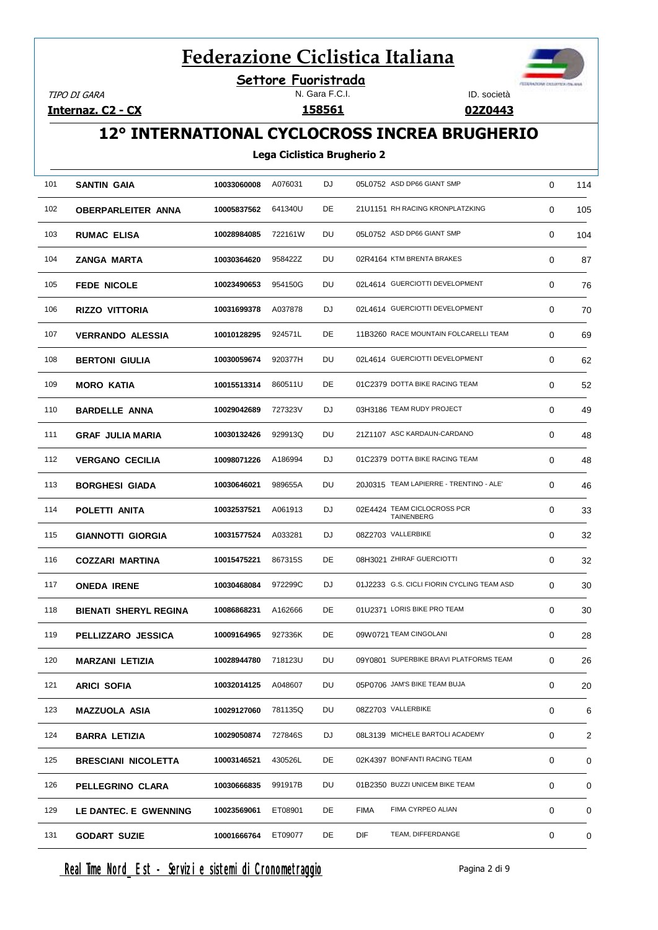**Settore Fuoristrada**

TIPO DI GARA

**Internaz. C2 - CX**

#### N. Gara F.C.I.



**02Z0443**

### **12° INTERNATIONAL CYCLOCROSS INCREA BRUGHERIO**

#### **Lega Ciclistica Brugherio 2**

| 101 | <b>SANTIN GAIA</b>           | 10033060008 | A076031 | DJ | 05L0752 ASD DP66 GIANT SMP  |                                            | 0 | 114 |
|-----|------------------------------|-------------|---------|----|-----------------------------|--------------------------------------------|---|-----|
| 102 | <b>OBERPARLEITER ANNA</b>    | 10005837562 | 641340U | DE |                             | 21U1151 RH RACING KRONPLATZKING            | 0 | 105 |
| 103 | <b>RUMAC ELISA</b>           | 10028984085 | 722161W | DU | 05L0752 ASD DP66 GIANT SMP  |                                            | 0 | 104 |
| 104 | ZANGA MARTA                  | 10030364620 | 958422Z | DU | 02R4164 KTM BRENTA BRAKES   |                                            | 0 | 87  |
| 105 | <b>FEDE NICOLE</b>           | 10023490653 | 954150G | DU |                             | 02L4614 GUERCIOTTI DEVELOPMENT             | 0 | 76  |
| 106 | <b>RIZZO VITTORIA</b>        | 10031699378 | A037878 | DJ |                             | 02L4614 GUERCIOTTI DEVELOPMENT             | 0 | 70  |
| 107 | <b>VERRANDO ALESSIA</b>      | 10010128295 | 924571L | DE |                             | 11B3260 RACE MOUNTAIN FOLCARELLI TEAM      | 0 | 69  |
| 108 | <b>BERTONI GIULIA</b>        | 10030059674 | 920377H | DU |                             | 02L4614 GUERCIOTTI DEVELOPMENT             | 0 | 62  |
| 109 | <b>MORO KATIA</b>            | 10015513314 | 860511U | DE |                             | 01C2379 DOTTA BIKE RACING TEAM             | 0 | 52  |
| 110 | <b>BARDELLE ANNA</b>         | 10029042689 | 727323V | DJ | 03H3186 TEAM RUDY PROJECT   |                                            | 0 | 49  |
| 111 | <b>GRAF JULIA MARIA</b>      | 10030132426 | 929913Q | DU |                             | 21Z1107 ASC KARDAUN-CARDANO                | 0 | 48  |
| 112 | <b>VERGANO CECILIA</b>       | 10098071226 | A186994 | DJ |                             | 01C2379 DOTTA BIKE RACING TEAM             | 0 | 48  |
| 113 | <b>BORGHESI GIADA</b>        | 10030646021 | 989655A | DU |                             | 20J0315 TEAM LAPIERRE - TRENTINO - ALE'    | 0 | 46  |
| 114 | POLETTI ANITA                | 10032537521 | A061913 | DJ |                             | 02E4424 TEAM CICLOCROSS PCR<br>TAINENBERG  | 0 | 33  |
| 115 | <b>GIANNOTTI GIORGIA</b>     | 10031577524 | A033281 | DJ | 08Z2703 VALLERBIKE          |                                            | 0 | 32  |
| 116 | <b>COZZARI MARTINA</b>       | 10015475221 | 867315S | DE | 08H3021 ZHIRAF GUERCIOTTI   |                                            | 0 | 32  |
| 117 | <b>ONEDA IRENE</b>           | 10030468084 | 972299C | DJ |                             | 01J2233 G.S. CICLI FIORIN CYCLING TEAM ASD | 0 | 30  |
| 118 | <b>BIENATI SHERYL REGINA</b> | 10086868231 | A162666 | DE | 01U2371 LORIS BIKE PRO TEAM |                                            | 0 | 30  |
| 119 | PELLIZZARO JESSICA           | 10009164965 | 927336K | DE | 09W0721 TEAM CINGOLANI      |                                            | 0 | 28  |
| 120 | <b>MARZANI LETIZIA</b>       | 10028944780 | 718123U | DU |                             | 09Y0801 SUPERBIKE BRAVI PLATFORMS TEAM     | 0 | 26  |
| 121 | <b>ARICI SOFIA</b>           | 10032014125 | A048607 | DU |                             | 05P0706 JAM'S BIKE TEAM BUJA               | 0 | 20  |
| 123 | MAZZUOLA ASIA                | 10029127060 | 781135Q | DU | 08Z2703 VALLERBIKE          |                                            | 0 | 6   |
| 124 | <b>BARRA LETIZIA</b>         | 10029050874 | 727846S | DJ |                             | 08L3139 MICHELE BARTOLI ACADEMY            | 0 | 2   |
| 125 | <b>BRESCIANI NICOLETTA</b>   | 10003146521 | 430526L | DE |                             | 02K4397 BONFANTI RACING TEAM               | 0 | 0   |
| 126 | PELLEGRINO CLARA             | 10030666835 | 991917B | DU |                             | 01B2350 BUZZI UNICEM BIKE TEAM             | 0 | 0   |
| 129 | LE DANTEC. E GWENNING        | 10023569061 | ET08901 | DE | FIMA                        | FIMA CYRPEO ALIAN                          | 0 | 0   |
| 131 | <b>GODART SUZIE</b>          | 10001666764 | ET09077 | DE | DIF                         | TEAM, DIFFERDANGE                          | 0 | 0   |
|     |                              |             |         |    |                             |                                            |   |     |

Real Time Nord Est - Servizi e sistemi di Cronometraggio enteri di pagina 2 di 9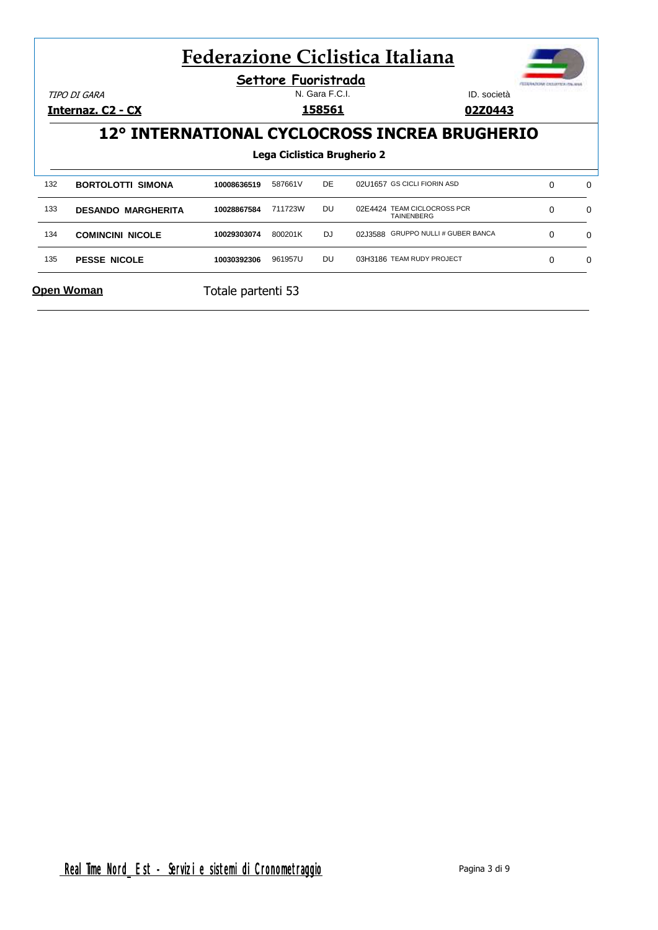|     |                           | <b>Federazione Ciclistica Italiana</b> |                             |                |                             |                                                  |          |          |
|-----|---------------------------|----------------------------------------|-----------------------------|----------------|-----------------------------|--------------------------------------------------|----------|----------|
|     | TIPO DI GARA              |                                        | Settore Fuoristrada         | N. Gara F.C.I. |                             | ID. società<br>02Z0443                           |          |          |
|     | <u> Internaz. C2 - CX</u> |                                        |                             | <u>158561</u>  |                             |                                                  |          |          |
|     |                           |                                        |                             |                |                             | 12° INTERNATIONAL CYCLOCROSS INCREA BRUGHERIO    |          |          |
|     |                           |                                        | Lega Ciclistica Brugherio 2 |                |                             |                                                  |          |          |
|     |                           |                                        |                             |                |                             |                                                  |          |          |
| 132 | <b>BORTOLOTTI SIMONA</b>  | 10008636519                            | 587661V                     | <b>DE</b>      | 02U1657 GS CICLI FIORIN ASD |                                                  | 0        | $\Omega$ |
| 133 | <b>DESANDO MARGHERITA</b> | 10028867584                            | 711723W                     | DU             |                             | 02E4424 TEAM CICLOCROSS PCR<br><b>TAINENBERG</b> | $\Omega$ | $\Omega$ |
| 134 | <b>COMINCINI NICOLE</b>   | 10029303074                            | 800201K                     | DJ.            |                             | 02J3588 GRUPPO NULLI # GUBER BANCA               | $\Omega$ | 0        |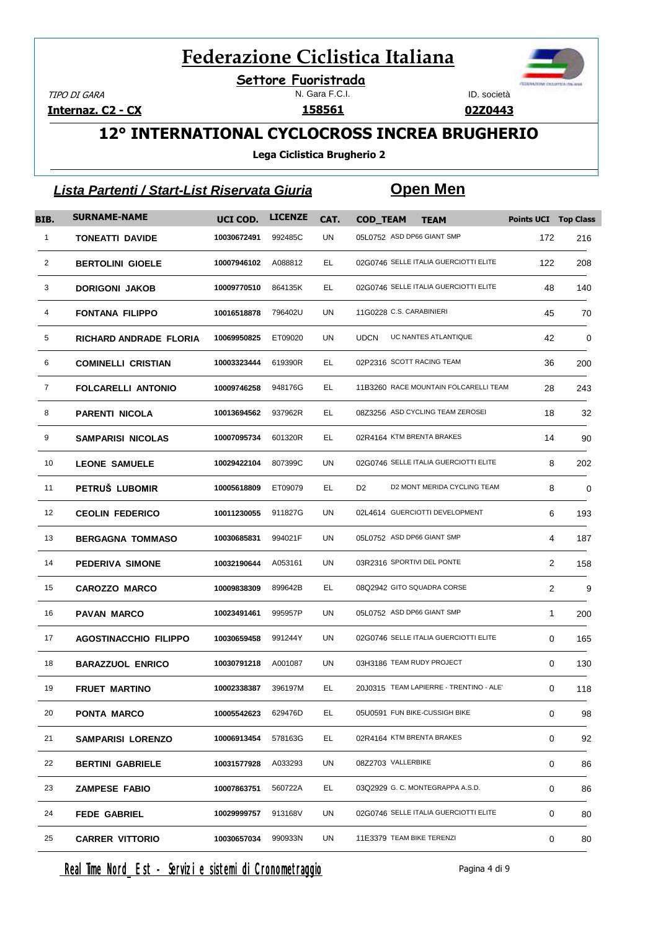N. Gara F.C.I. **Settore Fuoristrada**

TIPO DI GARA

**Internaz. C2 - CX**



**02Z0443**

### **12° INTERNATIONAL CYCLOCROSS INCREA BRUGHERIO**

**Lega Ciclistica Brugherio 2**

|                | <u> Lista Partenti / Start-List Riservata Giuria</u> |             |                |      |                 | <u>Open Men</u>                         |                             |     |
|----------------|------------------------------------------------------|-------------|----------------|------|-----------------|-----------------------------------------|-----------------------------|-----|
| BIB.           | <b>SURNAME-NAME</b>                                  | UCI COD.    | <b>LICENZE</b> | CAT. | <b>COD_TEAM</b> | <b>TEAM</b>                             | <b>Points UCI Top Class</b> |     |
| $\mathbf{1}$   | <b>TONEATTI DAVIDE</b>                               | 10030672491 | 992485C        | UN   |                 | 05L0752 ASD DP66 GIANT SMP              | 172                         | 216 |
| $\overline{2}$ | <b>BERTOLINI GIOELE</b>                              | 10007946102 | A088812        | EL.  |                 | 02G0746 SELLE ITALIA GUERCIOTTI ELITE   | 122                         | 208 |
| 3              | <b>DORIGONI JAKOB</b>                                | 10009770510 | 864135K        | EL.  |                 | 02G0746 SELLE ITALIA GUERCIOTTI ELITE   | 48                          | 140 |
| 4              | <b>FONTANA FILIPPO</b>                               | 10016518878 | 796402U        | UN   |                 | 11G0228 C.S. CARABINIERI                | 45                          | 70  |
| 5              | RICHARD ANDRADE FLORIA                               | 10069950825 | ET09020        | UN   | <b>UDCN</b>     | UC NANTES ATLANTIQUE                    | 42                          | 0   |
| 6              | <b>COMINELLI CRISTIAN</b>                            | 10003323444 | 619390R        | EL   |                 | 02P2316 SCOTT RACING TEAM               | 36                          | 200 |
| 7              | <b>FOLCARELLI ANTONIO</b>                            | 10009746258 | 948176G        | EL.  |                 | 11B3260 RACE MOUNTAIN FOLCARELLI TEAM   | 28                          | 243 |
| 8              | <b>PARENTI NICOLA</b>                                | 10013694562 | 937962R        | EL.  |                 | 08Z3256 ASD CYCLING TEAM ZEROSEI        | 18                          | 32  |
| 9              | <b>SAMPARISI NICOLAS</b>                             | 10007095734 | 601320R        | EL.  |                 | 02R4164 KTM BRENTA BRAKES               | 14                          | 90  |
| 10             | <b>LEONE SAMUELE</b>                                 | 10029422104 | 807399C        | UN   |                 | 02G0746 SELLE ITALIA GUERCIOTTI ELITE   | 8                           | 202 |
| 11             | PETRUŠ LUBOMIR                                       | 10005618809 | ET09079        | EL.  | D <sub>2</sub>  | D2 MONT MERIDA CYCLING TEAM             | 8                           | 0   |
| 12             | <b>CEOLIN FEDERICO</b>                               | 10011230055 | 911827G        | UN   |                 | 02L4614 GUERCIOTTI DEVELOPMENT          | 6                           | 193 |
| 13             | <b>BERGAGNA TOMMASO</b>                              | 10030685831 | 994021F        | UN   |                 | 05L0752 ASD DP66 GIANT SMP              | 4                           | 187 |
| 14             | PEDERIVA SIMONE                                      | 10032190644 | A053161        | UN   |                 | 03R2316 SPORTIVI DEL PONTE              | 2                           | 158 |
| 15             | <b>CAROZZO MARCO</b>                                 | 10009838309 | 899642B        | EL.  |                 | 08Q2942 GITO SQUADRA CORSE              | 2                           | 9   |
| 16             | <b>PAVAN MARCO</b>                                   | 10023491461 | 995957P        | UN   |                 | 05L0752 ASD DP66 GIANT SMP              | $\mathbf{1}$                | 200 |
| 17             | AGOSTINACCHIO FILIPPO                                | 10030659458 | 991244Y        | UN   |                 | 02G0746 SELLE ITALIA GUERCIOTTI ELITE   | 0                           | 165 |
| 18             | <b>BARAZZUOL ENRICO</b>                              | 10030791218 | A001087        | UN   |                 | 03H3186 TEAM RUDY PROJECT               | 0                           | 130 |
| 19             | <b>FRUET MARTINO</b>                                 | 10002338387 | 396197M        | EL   |                 | 20J0315 TEAM LAPIERRE - TRENTINO - ALE' | 0                           | 118 |
| 20             | PONTA MARCO                                          | 10005542623 | 629476D        | EL.  |                 | 05U0591 FUN BIKE-CUSSIGH BIKE           | 0                           | 98  |
| 21             | <b>SAMPARISI LORENZO</b>                             | 10006913454 | 578163G        | EL.  |                 | 02R4164 KTM BRENTA BRAKES               | 0                           | 92  |
| 22             | <b>BERTINI GABRIELE</b>                              | 10031577928 | A033293        | UN   |                 | 08Z2703 VALLERBIKE                      | 0                           | 86  |
| 23             | <b>ZAMPESE FABIO</b>                                 | 10007863751 | 560722A        | EL.  |                 | 03Q2929 G. C. MONTEGRAPPA A.S.D.        | 0                           | 86  |
| 24             | <b>FEDE GABRIEL</b>                                  | 10029999757 | 913168V        | UN   |                 | 02G0746 SELLE ITALIA GUERCIOTTI ELITE   | 0                           | 80  |
| 25             | <b>CARRER VITTORIO</b>                               | 10030657034 | 990933N        | UN   |                 | 11E3379 TEAM BIKE TERENZI               | 0                           | 80  |

Real Time Nord Est - Servizi e sistemi di Cronometraggio Pagina 4 di 9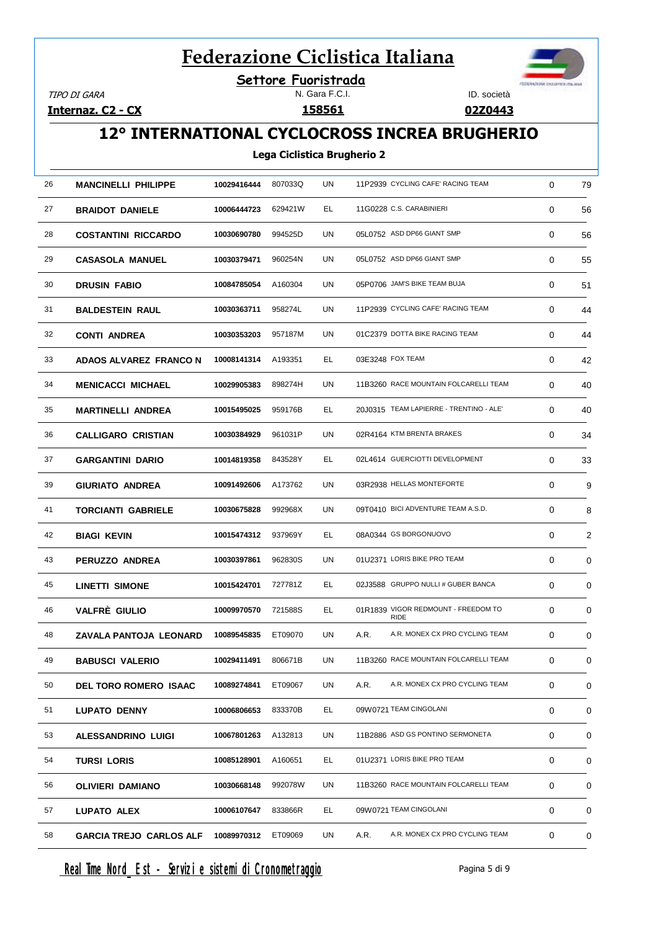**Settore Fuoristrada**

TIPO DI GARA

**Internaz. C2 - CX**

#### N. Gara F.C.I.



**02Z0443**

### **12° INTERNATIONAL CYCLOCROSS INCREA BRUGHERIO**

#### **Lega Ciclistica Brugherio 2**

| 26<br>UN<br>11P2939 CYCLING CAFE' RACING TEAM<br><b>MANCINELLI PHILIPPE</b><br>10029416444<br>807033Q<br>0<br>27<br>EL<br>11G0228 C.S. CARABINIERI<br><b>BRAIDOT DANIELE</b><br>629421W<br>0<br>10006444723<br>05L0752 ASD DP66 GIANT SMP<br>28<br>UN<br>10030690780<br>994525D<br>0<br><b>COSTANTINI RICCARDO</b><br>29<br>UN<br>05L0752 ASD DP66 GIANT SMP<br>960254N<br>0<br>10030379471<br><b>CASASOLA MANUEL</b><br>05P0706 JAM'S BIKE TEAM BUJA<br>UN<br>30<br>10084785054<br>A160304<br>0<br><b>DRUSIN FABIO</b><br>11P2939 CYCLING CAFE' RACING TEAM<br>958274L<br>UN<br>31<br>10030363711<br>0<br><b>BALDESTEIN RAUL</b><br>32<br>UN<br>01C2379 DOTTA BIKE RACING TEAM<br>957187M<br>10030353203<br>0<br><b>CONTI ANDREA</b><br>33<br>EL.<br>A193351<br>03E3248 FOX TEAM<br>0<br>ADAOS ALVAREZ FRANCO N<br>10008141314<br>11B3260 RACE MOUNTAIN FOLCARELLI TEAM<br>34<br>UN<br>0<br>10029905383<br>898274H<br><b>MENICACCI MICHAEL</b><br>20J0315 TEAM LAPIERRE - TRENTINO - ALE'<br>35<br>EL.<br>0<br>10015495025<br>959176B<br><b>MARTINELLI ANDREA</b><br>36<br>UN<br>02R4164 KTM BRENTA BRAKES<br><b>CALLIGARO CRISTIAN</b><br>10030384929<br>961031P<br>0<br>02L4614 GUERCIOTTI DEVELOPMENT<br>37<br>EL.<br>10014819358<br>843528Y<br>0<br><b>GARGANTINI DARIO</b><br>39<br>UN<br>03R2938 HELLAS MONTEFORTE<br>A173762<br>0<br>10091492606<br><b>GIURIATO ANDREA</b><br>09T0410 BICI ADVENTURE TEAM A.S.D.<br>10030675828<br>UN<br>41<br>992968X<br>0<br><b>TORCIANTI GABRIELE</b><br>42<br>08A0344 GS BORGONUOVO<br>937969Y<br>EL.<br>0<br><b>BIAGI KEVIN</b><br>10015474312<br>01U2371 LORIS BIKE PRO TEAM<br>UN<br>43<br>10030397861<br>962830S<br>0<br>PERUZZO ANDREA<br>EL.<br>02J3588 GRUPPO NULLI # GUBER BANCA<br>45<br>727781Z<br>0<br>LINETTI SIMONE<br>10015424701<br>01R1839 VIGOR REDMOUNT - FREEDOM TO<br>46<br><b>VALFRÈ GIULIO</b><br>EL.<br>10009970570<br>721588S<br>0<br><b>RIDE</b><br>48<br>UN<br>A.R.<br>A.R. MONEX CX PRO CYCLING TEAM<br>0<br>10089545835<br>ET09070<br><b>ZAVALA PANTOJA LEONARD</b><br>11B3260 RACE MOUNTAIN FOLCARELLI TEAM<br>10029411491<br>UN<br>49<br>806671B<br>0<br><b>BABUSCI VALERIO</b><br>50<br>UN<br>A.R.<br>A.R. MONEX CX PRO CYCLING TEAM<br>0<br>ET09067<br><b>DEL TORO ROMERO ISAAC</b><br>10089274841<br>EL.<br>0<br>51<br>833370B<br>09W0721 TEAM CINGOLANI<br><b>LUPATO DENNY</b><br>10006806653<br>11B2886 ASD GS PONTINO SERMONETA<br>UN<br>53<br>A132813<br>0<br>ALESSANDRINO LUIGI<br>10067801263<br>01U2371 LORIS BIKE PRO TEAM<br>54<br><b>TURSI LORIS</b><br>10085128901<br>A160651<br>EL.<br>0<br>UN<br>56<br>992078W<br>11B3260 RACE MOUNTAIN FOLCARELLI TEAM<br>0<br><b>OLIVIERI DAMIANO</b><br>10030668148<br>57<br>EL.<br>09W0721 TEAM CINGOLANI<br>0<br>LUPATO ALEX<br>10006107647<br>833866R<br>A.R. MONEX CX PRO CYCLING TEAM<br>58<br>10089970312<br>ET09069<br>UN<br>A.R.<br>0<br><b>GARCIA TREJO CARLOS ALF</b> |  |  |  |    |
|--------------------------------------------------------------------------------------------------------------------------------------------------------------------------------------------------------------------------------------------------------------------------------------------------------------------------------------------------------------------------------------------------------------------------------------------------------------------------------------------------------------------------------------------------------------------------------------------------------------------------------------------------------------------------------------------------------------------------------------------------------------------------------------------------------------------------------------------------------------------------------------------------------------------------------------------------------------------------------------------------------------------------------------------------------------------------------------------------------------------------------------------------------------------------------------------------------------------------------------------------------------------------------------------------------------------------------------------------------------------------------------------------------------------------------------------------------------------------------------------------------------------------------------------------------------------------------------------------------------------------------------------------------------------------------------------------------------------------------------------------------------------------------------------------------------------------------------------------------------------------------------------------------------------------------------------------------------------------------------------------------------------------------------------------------------------------------------------------------------------------------------------------------------------------------------------------------------------------------------------------------------------------------------------------------------------------------------------------------------------------------------------------------------------------------------------------------------------------------------------------------------------------------------------------------------------------------------------------------------------------------------------------------------------------------------------------------------------------------------------------------------------------------------------------------------------------------------------------------------------------------------------------------------|--|--|--|----|
|                                                                                                                                                                                                                                                                                                                                                                                                                                                                                                                                                                                                                                                                                                                                                                                                                                                                                                                                                                                                                                                                                                                                                                                                                                                                                                                                                                                                                                                                                                                                                                                                                                                                                                                                                                                                                                                                                                                                                                                                                                                                                                                                                                                                                                                                                                                                                                                                                                                                                                                                                                                                                                                                                                                                                                                                                                                                                                              |  |  |  | 79 |
|                                                                                                                                                                                                                                                                                                                                                                                                                                                                                                                                                                                                                                                                                                                                                                                                                                                                                                                                                                                                                                                                                                                                                                                                                                                                                                                                                                                                                                                                                                                                                                                                                                                                                                                                                                                                                                                                                                                                                                                                                                                                                                                                                                                                                                                                                                                                                                                                                                                                                                                                                                                                                                                                                                                                                                                                                                                                                                              |  |  |  | 56 |
|                                                                                                                                                                                                                                                                                                                                                                                                                                                                                                                                                                                                                                                                                                                                                                                                                                                                                                                                                                                                                                                                                                                                                                                                                                                                                                                                                                                                                                                                                                                                                                                                                                                                                                                                                                                                                                                                                                                                                                                                                                                                                                                                                                                                                                                                                                                                                                                                                                                                                                                                                                                                                                                                                                                                                                                                                                                                                                              |  |  |  | 56 |
|                                                                                                                                                                                                                                                                                                                                                                                                                                                                                                                                                                                                                                                                                                                                                                                                                                                                                                                                                                                                                                                                                                                                                                                                                                                                                                                                                                                                                                                                                                                                                                                                                                                                                                                                                                                                                                                                                                                                                                                                                                                                                                                                                                                                                                                                                                                                                                                                                                                                                                                                                                                                                                                                                                                                                                                                                                                                                                              |  |  |  | 55 |
|                                                                                                                                                                                                                                                                                                                                                                                                                                                                                                                                                                                                                                                                                                                                                                                                                                                                                                                                                                                                                                                                                                                                                                                                                                                                                                                                                                                                                                                                                                                                                                                                                                                                                                                                                                                                                                                                                                                                                                                                                                                                                                                                                                                                                                                                                                                                                                                                                                                                                                                                                                                                                                                                                                                                                                                                                                                                                                              |  |  |  | 51 |
|                                                                                                                                                                                                                                                                                                                                                                                                                                                                                                                                                                                                                                                                                                                                                                                                                                                                                                                                                                                                                                                                                                                                                                                                                                                                                                                                                                                                                                                                                                                                                                                                                                                                                                                                                                                                                                                                                                                                                                                                                                                                                                                                                                                                                                                                                                                                                                                                                                                                                                                                                                                                                                                                                                                                                                                                                                                                                                              |  |  |  | 44 |
|                                                                                                                                                                                                                                                                                                                                                                                                                                                                                                                                                                                                                                                                                                                                                                                                                                                                                                                                                                                                                                                                                                                                                                                                                                                                                                                                                                                                                                                                                                                                                                                                                                                                                                                                                                                                                                                                                                                                                                                                                                                                                                                                                                                                                                                                                                                                                                                                                                                                                                                                                                                                                                                                                                                                                                                                                                                                                                              |  |  |  | 44 |
|                                                                                                                                                                                                                                                                                                                                                                                                                                                                                                                                                                                                                                                                                                                                                                                                                                                                                                                                                                                                                                                                                                                                                                                                                                                                                                                                                                                                                                                                                                                                                                                                                                                                                                                                                                                                                                                                                                                                                                                                                                                                                                                                                                                                                                                                                                                                                                                                                                                                                                                                                                                                                                                                                                                                                                                                                                                                                                              |  |  |  | 42 |
|                                                                                                                                                                                                                                                                                                                                                                                                                                                                                                                                                                                                                                                                                                                                                                                                                                                                                                                                                                                                                                                                                                                                                                                                                                                                                                                                                                                                                                                                                                                                                                                                                                                                                                                                                                                                                                                                                                                                                                                                                                                                                                                                                                                                                                                                                                                                                                                                                                                                                                                                                                                                                                                                                                                                                                                                                                                                                                              |  |  |  | 40 |
|                                                                                                                                                                                                                                                                                                                                                                                                                                                                                                                                                                                                                                                                                                                                                                                                                                                                                                                                                                                                                                                                                                                                                                                                                                                                                                                                                                                                                                                                                                                                                                                                                                                                                                                                                                                                                                                                                                                                                                                                                                                                                                                                                                                                                                                                                                                                                                                                                                                                                                                                                                                                                                                                                                                                                                                                                                                                                                              |  |  |  | 40 |
|                                                                                                                                                                                                                                                                                                                                                                                                                                                                                                                                                                                                                                                                                                                                                                                                                                                                                                                                                                                                                                                                                                                                                                                                                                                                                                                                                                                                                                                                                                                                                                                                                                                                                                                                                                                                                                                                                                                                                                                                                                                                                                                                                                                                                                                                                                                                                                                                                                                                                                                                                                                                                                                                                                                                                                                                                                                                                                              |  |  |  | 34 |
|                                                                                                                                                                                                                                                                                                                                                                                                                                                                                                                                                                                                                                                                                                                                                                                                                                                                                                                                                                                                                                                                                                                                                                                                                                                                                                                                                                                                                                                                                                                                                                                                                                                                                                                                                                                                                                                                                                                                                                                                                                                                                                                                                                                                                                                                                                                                                                                                                                                                                                                                                                                                                                                                                                                                                                                                                                                                                                              |  |  |  | 33 |
|                                                                                                                                                                                                                                                                                                                                                                                                                                                                                                                                                                                                                                                                                                                                                                                                                                                                                                                                                                                                                                                                                                                                                                                                                                                                                                                                                                                                                                                                                                                                                                                                                                                                                                                                                                                                                                                                                                                                                                                                                                                                                                                                                                                                                                                                                                                                                                                                                                                                                                                                                                                                                                                                                                                                                                                                                                                                                                              |  |  |  | 9  |
|                                                                                                                                                                                                                                                                                                                                                                                                                                                                                                                                                                                                                                                                                                                                                                                                                                                                                                                                                                                                                                                                                                                                                                                                                                                                                                                                                                                                                                                                                                                                                                                                                                                                                                                                                                                                                                                                                                                                                                                                                                                                                                                                                                                                                                                                                                                                                                                                                                                                                                                                                                                                                                                                                                                                                                                                                                                                                                              |  |  |  | 8  |
|                                                                                                                                                                                                                                                                                                                                                                                                                                                                                                                                                                                                                                                                                                                                                                                                                                                                                                                                                                                                                                                                                                                                                                                                                                                                                                                                                                                                                                                                                                                                                                                                                                                                                                                                                                                                                                                                                                                                                                                                                                                                                                                                                                                                                                                                                                                                                                                                                                                                                                                                                                                                                                                                                                                                                                                                                                                                                                              |  |  |  | 2  |
|                                                                                                                                                                                                                                                                                                                                                                                                                                                                                                                                                                                                                                                                                                                                                                                                                                                                                                                                                                                                                                                                                                                                                                                                                                                                                                                                                                                                                                                                                                                                                                                                                                                                                                                                                                                                                                                                                                                                                                                                                                                                                                                                                                                                                                                                                                                                                                                                                                                                                                                                                                                                                                                                                                                                                                                                                                                                                                              |  |  |  | 0  |
|                                                                                                                                                                                                                                                                                                                                                                                                                                                                                                                                                                                                                                                                                                                                                                                                                                                                                                                                                                                                                                                                                                                                                                                                                                                                                                                                                                                                                                                                                                                                                                                                                                                                                                                                                                                                                                                                                                                                                                                                                                                                                                                                                                                                                                                                                                                                                                                                                                                                                                                                                                                                                                                                                                                                                                                                                                                                                                              |  |  |  | 0  |
|                                                                                                                                                                                                                                                                                                                                                                                                                                                                                                                                                                                                                                                                                                                                                                                                                                                                                                                                                                                                                                                                                                                                                                                                                                                                                                                                                                                                                                                                                                                                                                                                                                                                                                                                                                                                                                                                                                                                                                                                                                                                                                                                                                                                                                                                                                                                                                                                                                                                                                                                                                                                                                                                                                                                                                                                                                                                                                              |  |  |  | 0  |
|                                                                                                                                                                                                                                                                                                                                                                                                                                                                                                                                                                                                                                                                                                                                                                                                                                                                                                                                                                                                                                                                                                                                                                                                                                                                                                                                                                                                                                                                                                                                                                                                                                                                                                                                                                                                                                                                                                                                                                                                                                                                                                                                                                                                                                                                                                                                                                                                                                                                                                                                                                                                                                                                                                                                                                                                                                                                                                              |  |  |  | 0  |
|                                                                                                                                                                                                                                                                                                                                                                                                                                                                                                                                                                                                                                                                                                                                                                                                                                                                                                                                                                                                                                                                                                                                                                                                                                                                                                                                                                                                                                                                                                                                                                                                                                                                                                                                                                                                                                                                                                                                                                                                                                                                                                                                                                                                                                                                                                                                                                                                                                                                                                                                                                                                                                                                                                                                                                                                                                                                                                              |  |  |  | 0  |
|                                                                                                                                                                                                                                                                                                                                                                                                                                                                                                                                                                                                                                                                                                                                                                                                                                                                                                                                                                                                                                                                                                                                                                                                                                                                                                                                                                                                                                                                                                                                                                                                                                                                                                                                                                                                                                                                                                                                                                                                                                                                                                                                                                                                                                                                                                                                                                                                                                                                                                                                                                                                                                                                                                                                                                                                                                                                                                              |  |  |  | 0  |
|                                                                                                                                                                                                                                                                                                                                                                                                                                                                                                                                                                                                                                                                                                                                                                                                                                                                                                                                                                                                                                                                                                                                                                                                                                                                                                                                                                                                                                                                                                                                                                                                                                                                                                                                                                                                                                                                                                                                                                                                                                                                                                                                                                                                                                                                                                                                                                                                                                                                                                                                                                                                                                                                                                                                                                                                                                                                                                              |  |  |  | 0  |
|                                                                                                                                                                                                                                                                                                                                                                                                                                                                                                                                                                                                                                                                                                                                                                                                                                                                                                                                                                                                                                                                                                                                                                                                                                                                                                                                                                                                                                                                                                                                                                                                                                                                                                                                                                                                                                                                                                                                                                                                                                                                                                                                                                                                                                                                                                                                                                                                                                                                                                                                                                                                                                                                                                                                                                                                                                                                                                              |  |  |  | 0  |
|                                                                                                                                                                                                                                                                                                                                                                                                                                                                                                                                                                                                                                                                                                                                                                                                                                                                                                                                                                                                                                                                                                                                                                                                                                                                                                                                                                                                                                                                                                                                                                                                                                                                                                                                                                                                                                                                                                                                                                                                                                                                                                                                                                                                                                                                                                                                                                                                                                                                                                                                                                                                                                                                                                                                                                                                                                                                                                              |  |  |  | 0  |
|                                                                                                                                                                                                                                                                                                                                                                                                                                                                                                                                                                                                                                                                                                                                                                                                                                                                                                                                                                                                                                                                                                                                                                                                                                                                                                                                                                                                                                                                                                                                                                                                                                                                                                                                                                                                                                                                                                                                                                                                                                                                                                                                                                                                                                                                                                                                                                                                                                                                                                                                                                                                                                                                                                                                                                                                                                                                                                              |  |  |  | 0  |
|                                                                                                                                                                                                                                                                                                                                                                                                                                                                                                                                                                                                                                                                                                                                                                                                                                                                                                                                                                                                                                                                                                                                                                                                                                                                                                                                                                                                                                                                                                                                                                                                                                                                                                                                                                                                                                                                                                                                                                                                                                                                                                                                                                                                                                                                                                                                                                                                                                                                                                                                                                                                                                                                                                                                                                                                                                                                                                              |  |  |  | 0  |
|                                                                                                                                                                                                                                                                                                                                                                                                                                                                                                                                                                                                                                                                                                                                                                                                                                                                                                                                                                                                                                                                                                                                                                                                                                                                                                                                                                                                                                                                                                                                                                                                                                                                                                                                                                                                                                                                                                                                                                                                                                                                                                                                                                                                                                                                                                                                                                                                                                                                                                                                                                                                                                                                                                                                                                                                                                                                                                              |  |  |  | 0  |

Real Time Nord Est - Servizi e sistemi di Cronometraggio enteri di Pagina 5 di 9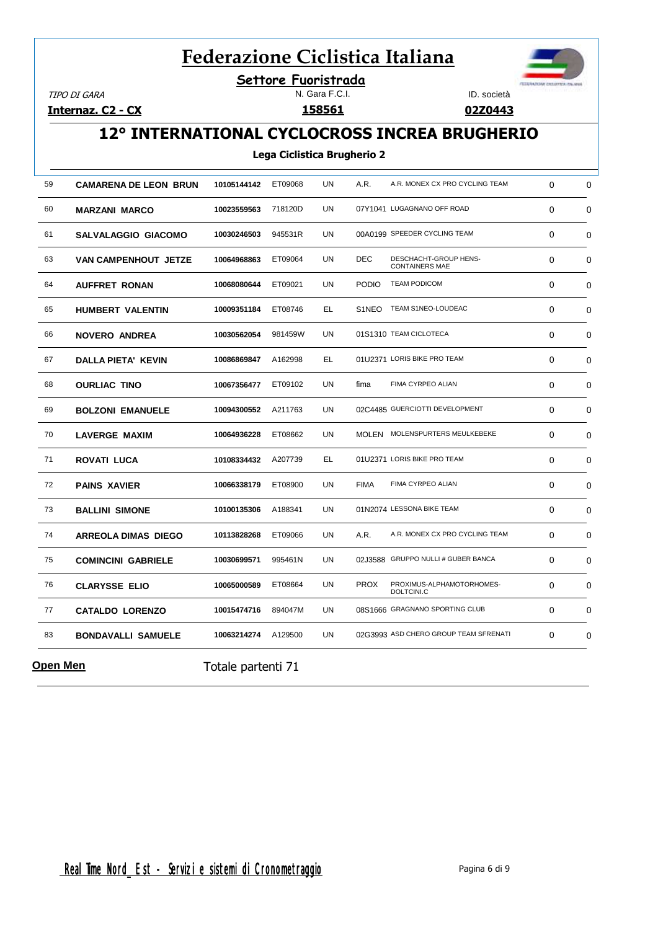**Settore Fuoristrada**

TIPO DI GARA

**Internaz. C2 - CX**

N. Gara F.C.I. **158561**



**02Z0443**

### **12° INTERNATIONAL CYCLOCROSS INCREA BRUGHERIO**

#### **Lega Ciclistica Brugherio 2**

| 59              | <b>CAMARENA DE LEON BRUN</b> | 10105144142        | ET09068 | UN        | A.R.         | A.R. MONEX CX PRO CYCLING TEAM                 | $\Omega$    | 0           |
|-----------------|------------------------------|--------------------|---------|-----------|--------------|------------------------------------------------|-------------|-------------|
| 60              | <b>MARZANI MARCO</b>         | 10023559563        | 718120D | UN        |              | 07Y1041 LUGAGNANO OFF ROAD                     | 0           | 0           |
| 61              | <b>SALVALAGGIO GIACOMO</b>   | 10030246503        | 945531R | UN        |              | 00A0199 SPEEDER CYCLING TEAM                   | $\mathbf 0$ | 0           |
| 63              | VAN CAMPENHOUT JETZE         | 10064968863        | ET09064 | <b>UN</b> | <b>DEC</b>   | DESCHACHT-GROUP HENS-<br><b>CONTAINERS MAE</b> | $\Omega$    | $\mathbf 0$ |
| 64              | <b>AUFFRET RONAN</b>         | 10068080644        | ET09021 | UN        | <b>PODIO</b> | <b>TEAM PODICOM</b>                            | $\Omega$    | $\mathbf 0$ |
| 65              | HUMBERT VALENTIN             | 10009351184        | ET08746 | EL.       | S1NEO        | TEAM S1NEO-LOUDEAC                             | $\Omega$    | 0           |
| 66              | <b>NOVERO ANDREA</b>         | 10030562054        | 981459W | UN        |              | 01S1310 TEAM CICLOTECA                         | $\Omega$    | $\Omega$    |
| 67              | DALLA PIETA' KEVIN           | 10086869847        | A162998 | EL        |              | 01U2371 LORIS BIKE PRO TEAM                    | $\Omega$    | $\mathbf 0$ |
| 68              | <b>OURLIAC TINO</b>          | 10067356477        | ET09102 | UN        | fima         | FIMA CYRPEO ALIAN                              | 0           | $\mathbf 0$ |
| 69              | <b>BOLZONI EMANUELE</b>      | 10094300552        | A211763 | UN        |              | 02C4485 GUERCIOTTI DEVELOPMENT                 | 0           | 0           |
| 70              | <b>LAVERGE MAXIM</b>         | 10064936228        | ET08662 | UN        |              | MOLEN MOLENSPURTERS MEULKEBEKE                 | $\Omega$    | $\mathbf 0$ |
| 71              | ROVATI LUCA                  | 10108334432        | A207739 | EL        |              | 01U2371 LORIS BIKE PRO TEAM                    | $\Omega$    | $\mathbf 0$ |
| 72              | <b>PAINS XAVIER</b>          | 10066338179        | ET08900 | UN        | <b>FIMA</b>  | FIMA CYRPEO ALIAN                              | 0           | $\mathbf 0$ |
| 73              | <b>BALLINI SIMONE</b>        | 10100135306        | A188341 | UN        |              | 01N2074 LESSONA BIKE TEAM                      | 0           | 0           |
| 74              | <b>ARREOLA DIMAS DIEGO</b>   | 10113828268        | ET09066 | UN        | A.R.         | A.R. MONEX CX PRO CYCLING TEAM                 | $\Omega$    | $\mathbf 0$ |
| 75              | <b>COMINCINI GABRIELE</b>    | 10030699571        | 995461N | <b>UN</b> |              | 02J3588 GRUPPO NULLI # GUBER BANCA             | 0           | $\mathbf 0$ |
| 76              | <b>CLARYSSE ELIO</b>         | 10065000589        | ET08664 | UN        | <b>PROX</b>  | PROXIMUS-ALPHAMOTORHOMES-<br>DOLTCINI.C        | 0           | 0           |
| 77              | <b>CATALDO LORENZO</b>       | 10015474716        | 894047M | UN        |              | 08S1666 GRAGNANO SPORTING CLUB                 | 0           | 0           |
| 83              | <b>BONDAVALLI SAMUELE</b>    | 10063214274        | A129500 | <b>UN</b> |              | 02G3993 ASD CHERO GROUP TEAM SFRENATI          | 0           | $\mathbf 0$ |
| <u>Open Men</u> |                              | Totale partenti 71 |         |           |              |                                                |             |             |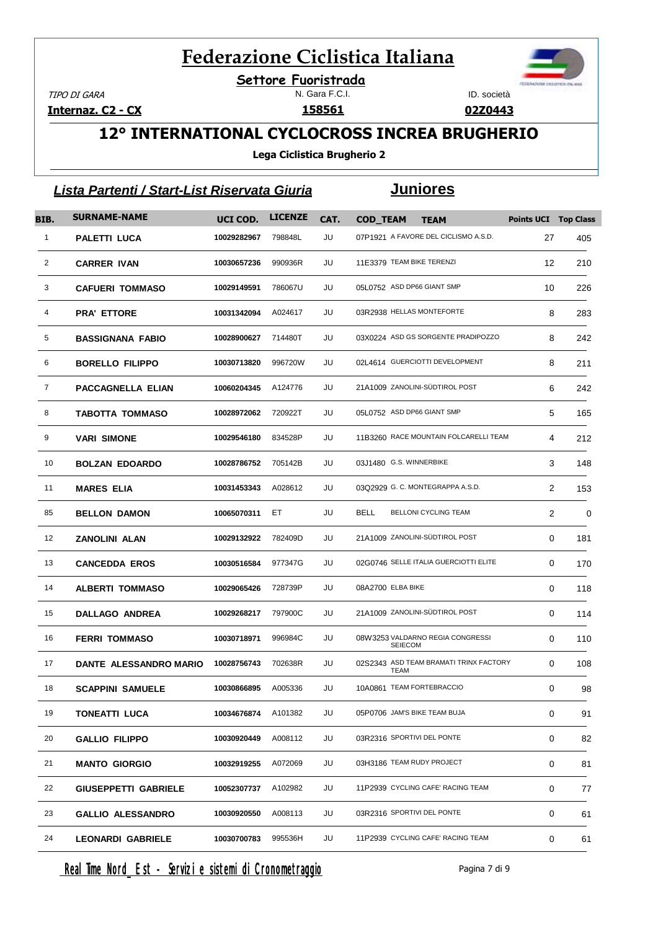N. Gara F.C.I. **Settore Fuoristrada**

TIPO DI GARA

**Internaz. C2 - CX**

ID. società

**02Z0443**

## **12° INTERNATIONAL CYCLOCROSS INCREA BRUGHERIO**

**Lega Ciclistica Brugherio 2**

|              | Lista Partenti / Start-List Riservata Giuria |             |                |      |                   | <u>Juniores</u>                                       |                             |     |
|--------------|----------------------------------------------|-------------|----------------|------|-------------------|-------------------------------------------------------|-----------------------------|-----|
| BIB.         | <b>SURNAME-NAME</b>                          | UCI COD.    | <b>LICENZE</b> | CAT. | <b>COD_TEAM</b>   | <b>TEAM</b>                                           | <b>Points UCI Top Class</b> |     |
| $\mathbf{1}$ | PALETTI LUCA                                 | 10029282967 | 798848L        | JU   |                   | 07P1921 A FAVORE DEL CICLISMO A.S.D.                  | 27                          | 405 |
| 2            | <b>CARRER IVAN</b>                           | 10030657236 | 990936R        | JU   |                   | 11E3379 TEAM BIKE TERENZI                             | 12                          | 210 |
| 3            | <b>CAFUERI TOMMASO</b>                       | 10029149591 | 786067U        | JU   |                   | 05L0752 ASD DP66 GIANT SMP                            | 10                          | 226 |
| 4            | <b>PRA' ETTORE</b>                           | 10031342094 | A024617        | JU   |                   | 03R2938 HELLAS MONTEFORTE                             | 8                           | 283 |
| 5            | <b>BASSIGNANA FABIO</b>                      | 10028900627 | 714480T        | JU   |                   | 03X0224 ASD GS SORGENTE PRADIPOZZO                    | 8                           | 242 |
| 6            | <b>BORELLO FILIPPO</b>                       | 10030713820 | 996720W        | JU   |                   | 02L4614 GUERCIOTTI DEVELOPMENT                        | 8                           | 211 |
| 7            | <b>PACCAGNELLA ELIAN</b>                     | 10060204345 | A124776        | JU   |                   | 21A1009 ZANOLINI-SÜDTIROL POST                        | 6                           | 242 |
| 8            | TABOTTA TOMMASO                              | 10028972062 | 720922T        | JU   |                   | 05L0752 ASD DP66 GIANT SMP                            | 5                           | 165 |
| 9            | <b>VARI SIMONE</b>                           | 10029546180 | 834528P        | JU   |                   | 11B3260 RACE MOUNTAIN FOLCARELLI TEAM                 | 4                           | 212 |
| 10           | <b>BOLZAN EDOARDO</b>                        | 10028786752 | 705142B        | JU   |                   | 03J1480 G.S. WINNERBIKE                               | 3                           | 148 |
| 11           | <b>MARES ELIA</b>                            | 10031453343 | A028612        | JU   |                   | 03Q2929 G. C. MONTEGRAPPA A.S.D.                      | $\overline{2}$              | 153 |
| 85           | <b>BELLON DAMON</b>                          | 10065070311 | ET             | JU   | BELL              | BELLONI CYCLING TEAM                                  | 2                           | 0   |
| 12           | <b>ZANOLINI ALAN</b>                         | 10029132922 | 782409D        | JU   |                   | 21A1009 ZANOLINI-SÜDTIROL POST                        | 0                           | 181 |
| 13           | <b>CANCEDDA EROS</b>                         | 10030516584 | 977347G        | JU   |                   | 02G0746 SELLE ITALIA GUERCIOTTI ELITE                 | $\Omega$                    | 170 |
| 14           | <b>ALBERTI TOMMASO</b>                       | 10029065426 | 728739P        | JU   | 08A2700 ELBA BIKE |                                                       | 0                           | 118 |
| 15           | <b>DALLAGO ANDREA</b>                        | 10029268217 | 797900C        | JU   |                   | 21A1009 ZANOLINI-SÜDTIROL POST                        | 0                           | 114 |
| 16           | <b>FERRI TOMMASO</b>                         | 10030718971 | 996984C        | JU   |                   | 08W3253 VALDARNO REGIA CONGRESSI<br><b>SEIECOM</b>    | 0                           | 110 |
| 17           | DANTE ALESSANDRO MARIO                       | 10028756743 | 702638R        | JU   |                   | 02S2343 ASD TEAM BRAMATI TRINX FACTORY<br><b>TEAM</b> | 0                           | 108 |
| 18           | <b>SCAPPINI SAMUELE</b>                      | 10030866895 | A005336        | JU   |                   | 10A0861 TEAM FORTEBRACCIO                             | 0                           | 98  |
| 19           | <b>TONEATTI LUCA</b>                         | 10034676874 | A101382        | JU   |                   | 05P0706 JAM'S BIKE TEAM BUJA                          | 0                           | 91  |
| 20           | <b>GALLIO FILIPPO</b>                        | 10030920449 | A008112        | JU   |                   | 03R2316 SPORTIVI DEL PONTE                            | 0                           | 82  |
| 21           | <b>MANTO GIORGIO</b>                         | 10032919255 | A072069        | JU   |                   | 03H3186 TEAM RUDY PROJECT                             | 0                           | 81  |
| 22           | <b>GIUSEPPETTI GABRIELE</b>                  | 10052307737 | A102982        | JU   |                   | 11P2939 CYCLING CAFE' RACING TEAM                     | 0                           | 77  |
| 23           | <b>GALLIO ALESSANDRO</b>                     | 10030920550 | A008113        | JU   |                   | 03R2316 SPORTIVI DEL PONTE                            | 0                           | 61  |
| 24           | <b>LEONARDI GABRIELE</b>                     | 10030700783 | 995536H        | JU   |                   | 11P2939 CYCLING CAFE' RACING TEAM                     | 0                           | 61  |

Real Time Nord Est - Servizi e sistemi di Cronometraggio enteri di Pagina 7 di 9

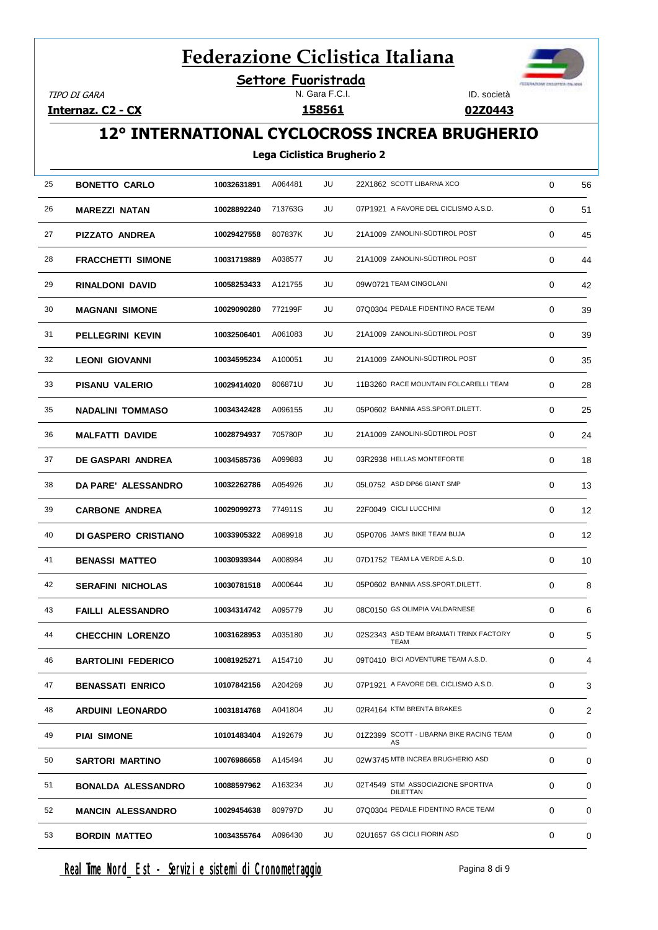**Settore Fuoristrada**

TIPO DI GARA

**Internaz. C2 - CX**

#### N. Gara F.C.I.

ID. società

**02Z0443**

## **12° INTERNATIONAL CYCLOCROSS INCREA BRUGHERIO**

#### **Lega Ciclistica Brugherio 2**

| 25 | <b>BONETTO CARLO</b>      | 10032631891 | A064481 | JU | 22X1862 SCOTT LIBARNA XCO                            | 0 | 56 |
|----|---------------------------|-------------|---------|----|------------------------------------------------------|---|----|
| 26 | <b>MAREZZI NATAN</b>      | 10028892240 | 713763G | JU | 07P1921 A FAVORE DEL CICLISMO A.S.D.                 | 0 | 51 |
| 27 | PIZZATO ANDREA            | 10029427558 | 807837K | JU | 21A1009 ZANOLINI-SÜDTIROL POST                       | 0 | 45 |
| 28 | <b>FRACCHETTI SIMONE</b>  | 10031719889 | A038577 | JU | 21A1009 ZANOLINI-SÜDTIROL POST                       | 0 | 44 |
| 29 | <b>RINALDONI DAVID</b>    | 10058253433 | A121755 | JU | 09W0721 TEAM CINGOLANI                               | 0 | 42 |
| 30 | <b>MAGNANI SIMONE</b>     | 10029090280 | 772199F | JU | 07Q0304 PEDALE FIDENTINO RACE TEAM                   | 0 | 39 |
| 31 | PELLEGRINI KEVIN          | 10032506401 | A061083 | JU | 21A1009 ZANOLINI-SÜDTIROL POST                       | 0 | 39 |
| 32 | <b>LEONI GIOVANNI</b>     | 10034595234 | A100051 | JU | 21A1009 ZANOLINI-SÜDTIROL POST                       | 0 | 35 |
| 33 | <b>PISANU VALERIO</b>     | 10029414020 | 806871U | JU | 11B3260 RACE MOUNTAIN FOLCARELLI TEAM                | 0 | 28 |
| 35 | <b>NADALINI TOMMASO</b>   | 10034342428 | A096155 | JU | 05P0602 BANNIA ASS.SPORT.DILETT.                     | 0 | 25 |
| 36 | <b>MALFATTI DAVIDE</b>    | 10028794937 | 705780P | JU | 21A1009 ZANOLINI-SÜDTIROL POST                       | 0 | 24 |
| 37 | DE GASPARI ANDREA         | 10034585736 | A099883 | JU | 03R2938 HELLAS MONTEFORTE                            | 0 | 18 |
| 38 | DA PARE' ALESSANDRO       | 10032262786 | A054926 | JU | 05L0752 ASD DP66 GIANT SMP                           | 0 | 13 |
| 39 | <b>CARBONE ANDREA</b>     | 10029099273 | 774911S | JU | 22F0049 CICLI LUCCHINI                               | 0 | 12 |
| 40 | DI GASPERO CRISTIANO      | 10033905322 | A089918 | JU | 05P0706 JAM'S BIKE TEAM BUJA                         | 0 | 12 |
| 41 | <b>BENASSI MATTEO</b>     | 10030939344 | A008984 | JU | 07D1752 TEAM LA VERDE A.S.D.                         | 0 | 10 |
| 42 | <b>SERAFINI NICHOLAS</b>  | 10030781518 | A000644 | JU | 05P0602 BANNIA ASS.SPORT.DILETT.                     | 0 | 8  |
| 43 | <b>FAILLI ALESSANDRO</b>  | 10034314742 | A095779 | JU | 08C0150 GS OLIMPIA VALDARNESE                        | 0 | 6  |
| 44 | <b>CHECCHIN LORENZO</b>   | 10031628953 | A035180 | JU | 02S2343 ASD TEAM BRAMATI TRINX FACTORY<br>TEAM       | 0 | 5  |
| 46 | <b>BARTOLINI FEDERICO</b> | 10081925271 | A154710 | JU | 09T0410 BICI ADVENTURE TEAM A.S.D.                   | 0 | 4  |
| 47 | <b>BENASSATI ENRICO</b>   | 10107842156 | A204269 | JU | 07P1921 A FAVORE DEL CICLISMO A.S.D.                 | 0 | 3  |
| 48 | ARDUINI LEONARDO          | 10031814768 | A041804 | JU | 02R4164 KTM BRENTA BRAKES                            | 0 | 2  |
| 49 | <b>PIAI SIMONE</b>        | 10101483404 | A192679 | JU | 01Z2399 SCOTT - LIBARNA BIKE RACING TEAM<br>AS       | 0 | 0  |
| 50 | <b>SARTORI MARTINO</b>    | 10076986658 | A145494 | JU | 02W3745 MTB INCREA BRUGHERIO ASD                     | 0 | 0  |
| 51 | <b>BONALDA ALESSANDRO</b> | 10088597962 | A163234 | JU | 02T4549 STM ASSOCIAZIONE SPORTIVA<br><b>DILETTAN</b> | 0 | 0  |
| 52 | <b>MANCIN ALESSANDRO</b>  | 10029454638 | 809797D | JU | 07Q0304 PEDALE FIDENTINO RACE TEAM                   | 0 | 0  |
| 53 | <b>BORDIN MATTEO</b>      | 10034355764 | A096430 | JU | 02U1657 GS CICLI FIORIN ASD                          | 0 | 0  |

Real Time Nord Est - Servizi e sistemi di Cronometraggio enteri di pagina 8 di 9